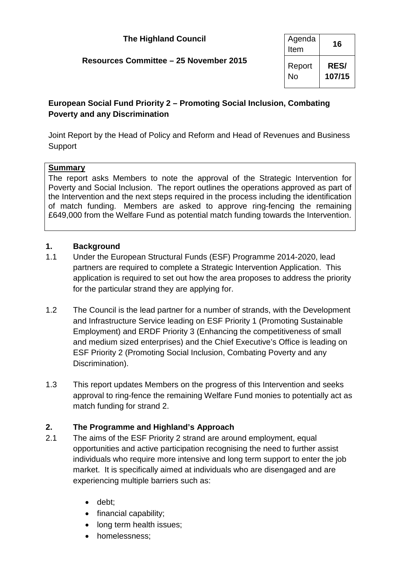| <b>The Highland Council</b>            | Agenda<br>Item      | 16                    |
|----------------------------------------|---------------------|-----------------------|
| Resources Committee - 25 November 2015 | Report<br><b>No</b> | <b>RES/</b><br>107/15 |

## **European Social Fund Priority 2 – Promoting Social Inclusion, Combating Poverty and any Discrimination**

Joint Report by the Head of Policy and Reform and Head of Revenues and Business **Support** 

#### **Summary**

The report asks Members to note the approval of the Strategic Intervention for Poverty and Social Inclusion. The report outlines the operations approved as part of the Intervention and the next steps required in the process including the identification of match funding. Members are asked to approve ring-fencing the remaining £649,000 from the Welfare Fund as potential match funding towards the Intervention.

## **1. Background**

- 1.1 Under the European Structural Funds (ESF) Programme 2014-2020, lead partners are required to complete a Strategic Intervention Application. This application is required to set out how the area proposes to address the priority for the particular strand they are applying for.
- 1.2 The Council is the lead partner for a number of strands, with the Development and Infrastructure Service leading on ESF Priority 1 (Promoting Sustainable Employment) and ERDF Priority 3 (Enhancing the competitiveness of small and medium sized enterprises) and the Chief Executive's Office is leading on ESF Priority 2 (Promoting Social Inclusion, Combating Poverty and any Discrimination).
- 1.3 This report updates Members on the progress of this Intervention and seeks approval to ring-fence the remaining Welfare Fund monies to potentially act as match funding for strand 2.

## **2. The Programme and Highland's Approach**

- <span id="page-0-0"></span>2.1 The aims of the ESF Priority 2 strand are around employment, equal opportunities and active participation recognising the need to further assist individuals who require more intensive and long term support to enter the job market. It is specifically aimed at individuals who are disengaged and are experiencing multiple barriers such as:
	- debt;
	- financial capability;
	- long term health issues;
	- homelessness;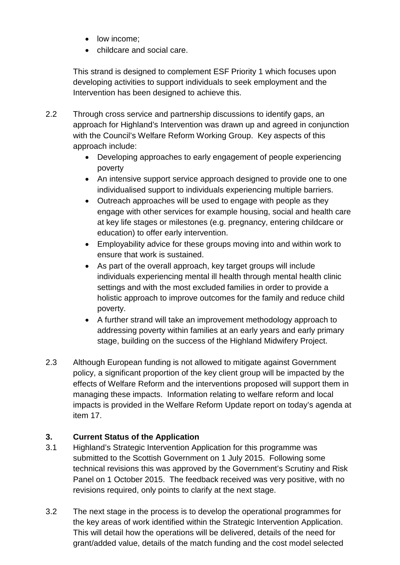- low income;
- childcare and social care.

This strand is designed to complement ESF Priority 1 which focuses upon developing activities to support individuals to seek employment and the Intervention has been designed to achieve this.

- 2.2 Through cross service and partnership discussions to identify gaps, an approach for Highland's Intervention was drawn up and agreed in conjunction with the Council's Welfare Reform Working Group. Key aspects of this approach include:
	- Developing approaches to early engagement of people experiencing poverty
	- An intensive support service approach designed to provide one to one individualised support to individuals experiencing multiple barriers.
	- Outreach approaches will be used to engage with people as they engage with other services for example housing, social and health care at key life stages or milestones (e.g. pregnancy, entering childcare or education) to offer early intervention.
	- Employability advice for these groups moving into and within work to ensure that work is sustained.
	- As part of the overall approach, key target groups will include individuals experiencing mental ill health through mental health clinic settings and with the most excluded families in order to provide a holistic approach to improve outcomes for the family and reduce child poverty.
	- A further strand will take an improvement methodology approach to addressing poverty within families at an early years and early primary stage, building on the success of the Highland Midwifery Project.
- 2.3 Although European funding is not allowed to mitigate against Government policy, a significant proportion of the key client group will be impacted by the effects of Welfare Reform and the interventions proposed will support them in managing these impacts. Information relating to welfare reform and local impacts is provided in the Welfare Reform Update report on today's agenda at item 17.

# **3. Current Status of the Application**

- 3.1 Highland's Strategic Intervention Application for this programme was submitted to the Scottish Government on 1 July 2015. Following some technical revisions this was approved by the Government's Scrutiny and Risk Panel on 1 October 2015. The feedback received was very positive, with no revisions required, only points to clarify at the next stage.
- 3.2 The next stage in the process is to develop the operational programmes for the key areas of work identified within the Strategic Intervention Application. This will detail how the operations will be delivered, details of the need for grant/added value, details of the match funding and the cost model selected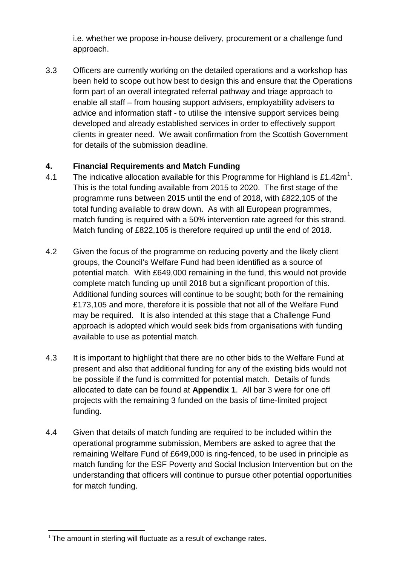i.e. whether we propose in-house delivery, procurement or a challenge fund approach.

3.3 Officers are currently working on the detailed operations and a workshop has been held to scope out how best to design this and ensure that the Operations form part of an overall integrated referral pathway and triage approach to enable all staff – from housing support advisers, employability advisers to advice and information staff - to utilise the intensive support services being developed and already established services in order to effectively support clients in greater need. We await confirmation from the Scottish Government for details of the submission deadline.

## **4. Financial Requirements and Match Funding**

- 4.[1](#page-0-0) The indicative allocation available for this Programme for Highland is £1.42m<sup>1</sup>. This is the total funding available from 2015 to 2020. The first stage of the programme runs between 2015 until the end of 2018, with £822,105 of the total funding available to draw down. As with all European programmes, match funding is required with a 50% intervention rate agreed for this strand. Match funding of £822,105 is therefore required up until the end of 2018.
- 4.2 Given the focus of the programme on reducing poverty and the likely client groups, the Council's Welfare Fund had been identified as a source of potential match. With £649,000 remaining in the fund, this would not provide complete match funding up until 2018 but a significant proportion of this. Additional funding sources will continue to be sought; both for the remaining £173,105 and more, therefore it is possible that not all of the Welfare Fund may be required. It is also intended at this stage that a Challenge Fund approach is adopted which would seek bids from organisations with funding available to use as potential match.
- 4.3 It is important to highlight that there are no other bids to the Welfare Fund at present and also that additional funding for any of the existing bids would not be possible if the fund is committed for potential match. Details of funds allocated to date can be found at **Appendix 1**. All bar 3 were for one off projects with the remaining 3 funded on the basis of time-limited project funding.
- 4.4 Given that details of match funding are required to be included within the operational programme submission, Members are asked to agree that the remaining Welfare Fund of £649,000 is ring-fenced, to be used in principle as match funding for the ESF Poverty and Social Inclusion Intervention but on the understanding that officers will continue to pursue other potential opportunities for match funding.

 $1$  The amount in sterling will fluctuate as a result of exchange rates.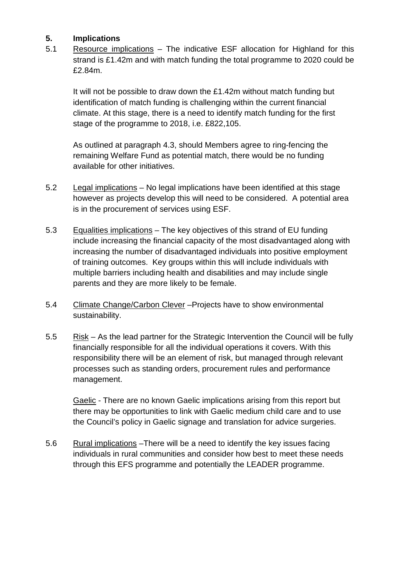## **5. Implications**

5.1 Resource implications – The indicative ESF allocation for Highland for this strand is £1.42m and with match funding the total programme to 2020 could be £2.84m.

It will not be possible to draw down the £1.42m without match funding but identification of match funding is challenging within the current financial climate. At this stage, there is a need to identify match funding for the first stage of the programme to 2018, i.e. £822,105.

As outlined at paragraph 4.3, should Members agree to ring-fencing the remaining Welfare Fund as potential match, there would be no funding available for other initiatives.

- 5.2 Legal implications – No legal implications have been identified at this stage however as projects develop this will need to be considered. A potential area is in the procurement of services using ESF.
- 5.3 Equalities implications – The key objectives of this strand of EU funding include increasing the financial capacity of the most disadvantaged along with increasing the number of disadvantaged individuals into positive employment of training outcomes. Key groups within this will include individuals with multiple barriers including health and disabilities and may include single parents and they are more likely to be female.
- 5.4 Climate Change/Carbon Clever –Projects have to show environmental sustainability.
- 5.5 Risk – As the lead partner for the Strategic Intervention the Council will be fully financially responsible for all the individual operations it covers. With this responsibility there will be an element of risk, but managed through relevant processes such as standing orders, procurement rules and performance management.

Gaelic - There are no known Gaelic implications arising from this report but there may be opportunities to link with Gaelic medium child care and to use the Council's policy in Gaelic signage and translation for advice surgeries.

5.6 Rural implications –There will be a need to identify the key issues facing individuals in rural communities and consider how best to meet these needs through this EFS programme and potentially the LEADER programme.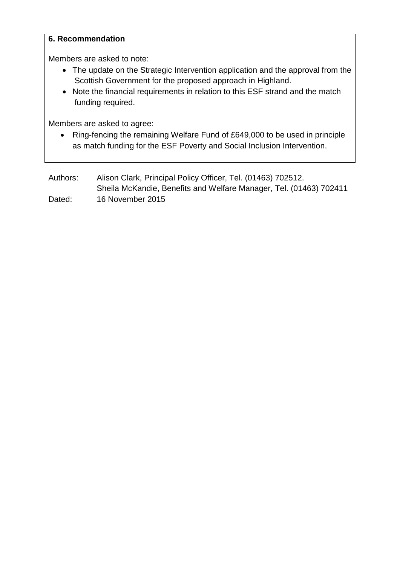#### **6. Recommendation**

Members are asked to note:

- The update on the Strategic Intervention application and the approval from the Scottish Government for the proposed approach in Highland.
- Note the financial requirements in relation to this ESF strand and the match funding required.

Members are asked to agree:

• Ring-fencing the remaining Welfare Fund of £649,000 to be used in principle as match funding for the ESF Poverty and Social Inclusion Intervention.

| Authors: | Alison Clark, Principal Policy Officer, Tel. (01463) 702512.       |
|----------|--------------------------------------------------------------------|
|          | Sheila McKandie, Benefits and Welfare Manager, Tel. (01463) 702411 |
| Dated:   | 16 November 2015                                                   |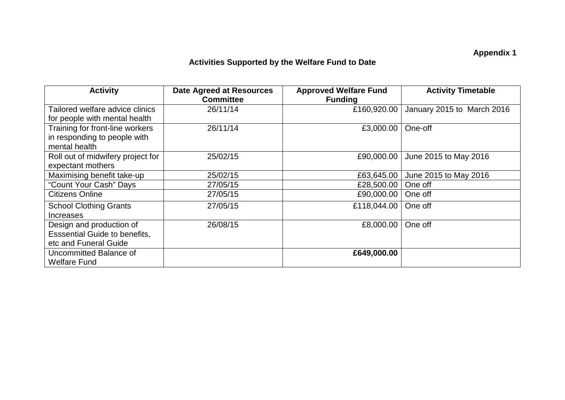# **Appendix 1**

# **Activities Supported by the Welfare Fund to Date**

| <b>Activity</b>                      | <b>Date Agreed at Resources</b><br><b>Committee</b> | <b>Approved Welfare Fund</b><br><b>Funding</b> | <b>Activity Timetable</b>  |
|--------------------------------------|-----------------------------------------------------|------------------------------------------------|----------------------------|
| Tailored welfare advice clinics      | 26/11/14                                            | £160,920.00                                    | January 2015 to March 2016 |
| for people with mental health        |                                                     |                                                |                            |
| Training for front-line workers      | 26/11/14                                            | £3,000.00                                      | One-off                    |
| in responding to people with         |                                                     |                                                |                            |
| mental health                        |                                                     |                                                |                            |
| Roll out of midwifery project for    | 25/02/15                                            | £90,000.00                                     | June 2015 to May 2016      |
| expectant mothers                    |                                                     |                                                |                            |
| Maximising benefit take-up           | 25/02/15                                            | £63,645.00                                     | June 2015 to May 2016      |
| "Count Your Cash" Days               | 27/05/15                                            | £28,500.00                                     | One off                    |
| <b>Citizens Online</b>               | 27/05/15                                            | £90,000.00                                     | One off                    |
| <b>School Clothing Grants</b>        | 27/05/15                                            | £118,044.00                                    | One off                    |
| <b>Increases</b>                     |                                                     |                                                |                            |
| Design and production of             | 26/08/15                                            | £8,000.00                                      | One off                    |
| <b>Esssential Guide to benefits,</b> |                                                     |                                                |                            |
| etc and Funeral Guide                |                                                     |                                                |                            |
| Uncommitted Balance of               |                                                     | £649,000.00                                    |                            |
| <b>Welfare Fund</b>                  |                                                     |                                                |                            |